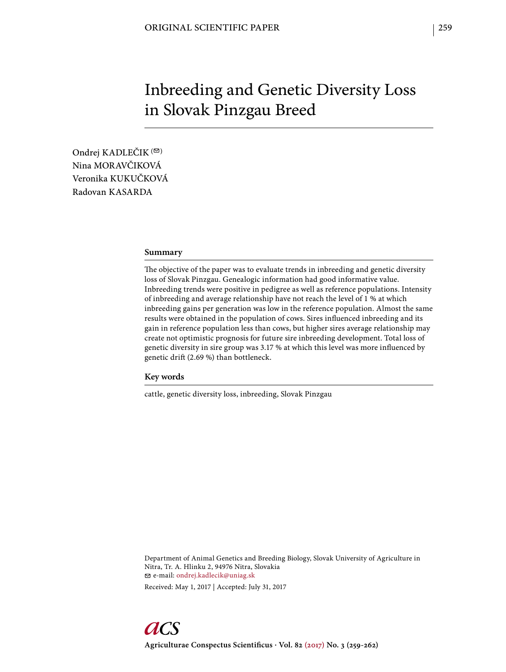# Inbreeding and Genetic Diversity Loss in Slovak Pinzgau Breed

Ondrej KADLEČIK<sup>(2)</sup> Nina MORAVČIKOVÁ Veronika KUKUČKOVÁ Radovan KASARDA

### **Summary**

The objective of the paper was to evaluate trends in inbreeding and genetic diversity loss of Slovak Pinzgau. Genealogic information had good informative value. Inbreeding trends were positive in pedigree as well as reference populations. Intensity of inbreeding and average relationship have not reach the level of 1 % at which inbreeding gains per generation was low in the reference population. Almost the same results were obtained in the population of cows. Sires influenced inbreeding and its gain in reference population less than cows, but higher sires average relationship may create not optimistic prognosis for future sire inbreeding development. Total loss of genetic diversity in sire group was 3.17 % at which this level was more influenced by genetic drift (2.69 %) than bottleneck.

# **Key words**

cattle, genetic diversity loss, inbreeding, Slovak Pinzgau

Department of Animal Genetics and Breeding Biology, Slovak University of Agriculture in Nitra, Tr. A. Hlinku 2, 94976 Nitra, Slovakia e-mail: ondrej.kadlecik@uniag.sk

Received: May 1, 2017 | Accepted: July 31, 2017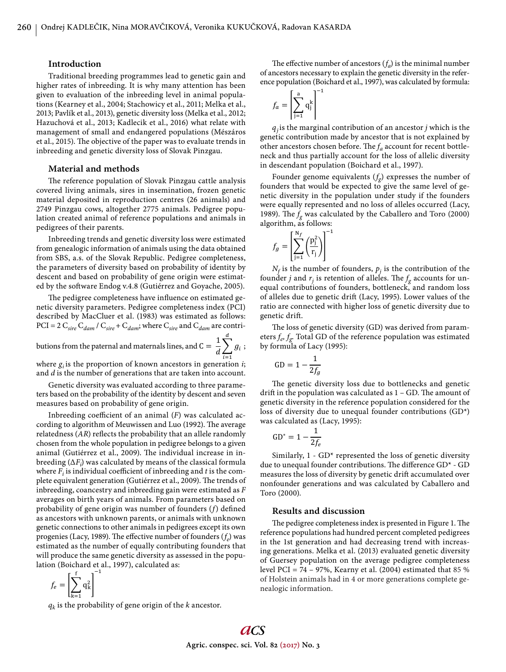#### **Introduction**

Traditional breeding programmes lead to genetic gain and higher rates of inbreeding. It is why many attention has been given to evaluation of the inbreeding level in animal populations (Kearney et al., 2004; Stachowicy et al., 2011; Melka et al., 2013; Pavlík et al., 2013), genetic diversity loss (Melka et al., 2012; Hazuchová et al., 2013; Kadlecik et al., 2016) what relate with management of small and endangered populations (Mészáros et al., 2015). The objective of the paper was to evaluate trends in inbreeding and genetic diversity loss of Slovak Pinzgau.

# **Material and methods**

The reference population of Slovak Pinzgau cattle analysis covered living animals, sires in insemination, frozen genetic material deposited in reproduction centres (26 animals) and 2749 Pinzgau cows, altogether 2775 animals. Pedigree population created animal of reference populations and animals in pedigrees of their parents.

Inbreeding trends and genetic diversity loss were estimated from genealogic information of animals using the data obtained from SBS, a.s. of the Slovak Republic. Pedigree completeness, the parameters of diversity based on probability of identity by descent and based on probability of gene origin were estimated by the software Endog v.4.8 (Gutiérrez and Goyache, 2005).

The pedigree completeness have influence on estimated genetic diversity parameters. Pedigree completeness index (PCI) described by MacCluer et al. (1983) was estimated as follows:  $PCI = 2 C_{sire} C_{dam} / C_{sire} + C_{dam}$ ; where  $C_{sire}$  and  $C_{dam}$  are contri-

butions from the paternal and maternals lines, and  $C = \frac{1}{2}$  $\overline{d} \sum_{i=1} g_i$  $\boldsymbol{d}$ i  $=1$ ;

where  $g_i$  is the proportion of known ancestors in generation *i*; and *d* is the number of generations that are taken into account.

Genetic diversity was evaluated according to three parameters based on the probability of the identity by descent and seven measures based on probability of gene origin.

Inbreeding coefficient of an animal  $(F)$  was calculated according to algorithm of Meuwissen and Luo (1992). The average relatedness (AR) reflects the probability that an allele randomly chosen from the whole population in pedigree belongs to a given animal (Gutiérrez et al., 2009). The individual increase in inbreeding (Δ*Fi* ) was calculated by means of the classical formula where  $F_i$  is individual coefficient of indreeding and  $t$  is the complete equivalent generation (Gutiérrez et al., 2009). The trends of inbreeding, coancestry and inbreeding gain were estimated as *F* averages on birth years of animals. From parameters based on probability of gene origin was number of founders (f) defined as ancestors with unknown parents, or animals with unknown genetic connections to other animals in pedigrees except its own progenies (Lacy, 1989). The effective number of founders  $(f_e)$  was estimated as the number of equally contributing founders that will produce the same genetic diversity as assessed in the population (Boichard et al., 1997), calculated as:

$$
f_e = \left[\sum_{k=1}^f q_k^2\right]^{-1}
$$

*qk* is the probability of gene origin of the *k* ancestor.

The effective number of ancestors  $(f_a)$  is the minimal number of ancestors necessary to explain the genetic diversity in the reference population (Boichard et al., 1997), was calculated by formula:

$$
f_a = \left[\sum_{j=1}^a q_j^k\right]^{-1}
$$

 $q_i$  is the marginal contribution of an ancestor *j* which is the genetic contribution made by ancestor that is not explained by other ancestors chosen before. The  $f_a$  account for recent bottleneck and thus partially account for the loss of allelic diversity in descendant population (Boichard et al., 1997).

Founder genome equivalents  $(f_g)$  expresses the number of founders that would be expected to give the same level of genetic diversity in the population under study if the founders were equally represented and no loss of alleles occurred (Lacy, 1989). The  $f_g$  was calculated by the Caballero and Toro (2000) algorithm, as follows:

$$
f_g = \left[ \sum_{j=1}^{N_f} \left( \frac{p_j^2}{r_j} \right) \right]^{-1}
$$

 $\mathbf{1}$ 

 $N_f$  is the number of founders,  $p_j$  is the contribution of the founder *j* and  $r_i$  is retention of alleles. The  $f_g$  accounts for unequal contributions of founders, bottleneck, and random loss of alleles due to genetic drift (Lacy, 1995). Lower values of the ratio are connected with higher loss of genetic diversity due to genetic drift.

The loss of genetic diversity (GD) was derived from parameters  $f_e, f_g$ . Total GD of the reference population was estimated by formula of Lacy (1995):

$$
GD = 1 - \frac{1}{2f_g}
$$

The genetic diversity loss due to bottlenecks and genetic drift in the population was calculated as  $1 - GD$ . The amount of genetic diversity in the reference population considered for the loss of diversity due to unequal founder contributions (GD\*) was calculated as (Lacy, 1995):

$$
GD^* = 1 - \frac{1}{2f_e}
$$

Similarly,  $1 - GD^*$  represented the loss of genetic diversity due to unequal founder contributions. The difference  $GD^*$  -  $GD$ measures the loss of diversity by genetic drift accumulated over nonfounder generations and was calculated by Caballero and Toro (2000)*.*

#### **Results and discussion**

The pedigree completeness index is presented in Figure 1. The reference populations had hundred percent completed pedigrees in the 1st generation and had decreasing trend with increasing generations. Melka et al. (2013) evaluated genetic diversity of Guersey population on the average pedigree completeness level PCI = 74 – 97%, Kearny et al. (2004) estimated that 85 % of Holstein animals had in 4 or more generations complete genealogic information.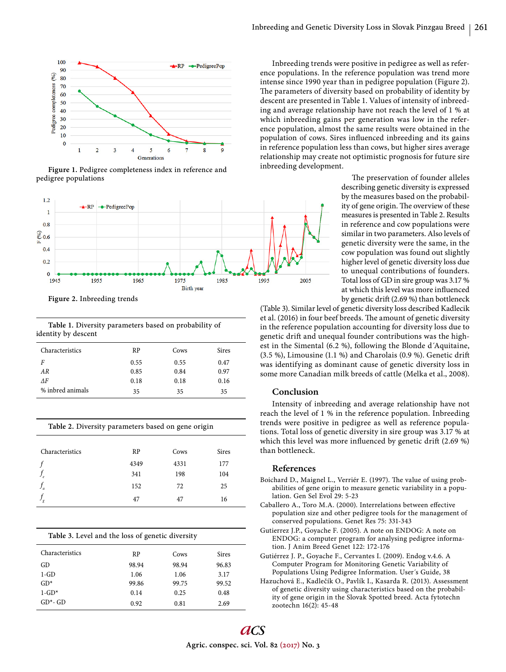

**Figure 1.** Pedigree completeness index in reference and pedigree populations



**Figure 2.** Inbreeding trends

**Table 1.** Diversity parameters based on probability of identity by descent

| Characteristics  | <b>RP</b> | Cows | <b>Sires</b> |
|------------------|-----------|------|--------------|
| F                | 0.55      | 0.55 | 0.47         |
| AR               | 0.85      | 0.84 | 0.97         |
| ΛF               | 0.18      | 0.18 | 0.16         |
| % inbred animals | 35        | 35   | 35           |

| Characteristics | RP   | Cows | <b>Sires</b> |
|-----------------|------|------|--------------|
|                 | 4349 | 4331 | 177          |
| $J_e$           | 341  | 198  | 104          |
| J <sub>a</sub>  | 152  | 72   | 25           |
| $\sigma$        | 47   | 47   | 16           |

**Table 2.** Diversity parameters based on gene origin

| Table 3. Level and the loss of genetic diversity |           |       |              |  |  |
|--------------------------------------------------|-----------|-------|--------------|--|--|
| Characteristics                                  | <b>RP</b> | Cows  | <b>Sires</b> |  |  |
| GD                                               | 98.94     | 98.94 | 96.83        |  |  |
| $1-GD$                                           | 1.06      | 1.06  | 3.17         |  |  |
| $GD*$                                            | 99.86     | 99.75 | 99.52        |  |  |
| $1 - GD*$                                        | 0.14      | 0.25  | 0.48         |  |  |
| $GD^*$ - GD                                      | 0.92      | 0.81  | 2.69         |  |  |

Inbreeding trends were positive in pedigree as well as reference populations. In the reference population was trend more intense since 1990 year than in pedigree population (Figure 2). The parameters of diversity based on probability of identity by descent are presented in Table 1. Values of intensity of inbreeding and average relationship have not reach the level of 1 % at which inbreeding gains per generation was low in the reference population, almost the same results were obtained in the population of cows. Sires influenced inbreeding and its gains in reference population less than cows, but higher sires average relationship may create not optimistic prognosis for future sire inbreeding development.

> The preservation of founder alleles describing genetic diversity is expressed by the measures based on the probability of gene origin. The overview of these measures is presented in Table 2. Results in reference and cow populations were similar in two parameters. Also levels of genetic diversity were the same, in the cow population was found out slightly higher level of genetic diversity loss due to unequal contributions of founders. Total loss of GD in sire group was 3.17 % at which this level was more influenced by genetic drift (2.69 %) than bottleneck

(Table 3). Similar level of genetic diversity loss described Kadlecik et al. (2016) in four beef breeds. The amount of genetic diversity in the reference population accounting for diversity loss due to genetic drift and unequal founder contributions was the highest in the Simental (6.2 %), following the Blonde d´Aquitaine, (3.5 %), Limousine (1.1 %) and Charolais (0.9 %). Genetic drift was identifying as dominant cause of genetic diversity loss in some more Canadian milk breeds of cattle (Melka et al., 2008).

# **Conclusion**

Intensity of inbreeding and average relationship have not reach the level of 1 % in the reference population. Inbreeding trends were positive in pedigree as well as reference populations. Total loss of genetic diversity in sire group was 3.17 % at which this level was more influenced by genetic drift  $(2.69\%)$ than bottleneck.

### **References**

- Boichard D., Maignel L., Verriér E. (1997). The value of using probabilities of gene origin to measure genetic variability in a population. Gen Sel Evol 29: 5-23
- Caballero A., Toro M.A. (2000). Interrelations between effective population size and other pedigree tools for the management of conserved populations. Genet Res 75: 331-343
- Gutierrez J.P., Goyache F. (2005). A note on ENDOG: A note on ENDOG: a computer program for analysing pedigree information. J Anim Breed Genet 122: 172-176
- Gutiérrez J. P., Goyache F., Cervantes I. (2009). Endog v.4.6. A Computer Program for Monitoring Genetic Variability of Populations Using Pedigree Information. User´s Guide, 38
- Hazuchová E., Kadlečík O., Pavlík I., Kasarda R. (2013). Assessment of genetic diversity using characteristics based on the probability of gene origin in the Slovak Spotted breed. Acta fytotechn zootechn 16(2): 45-48